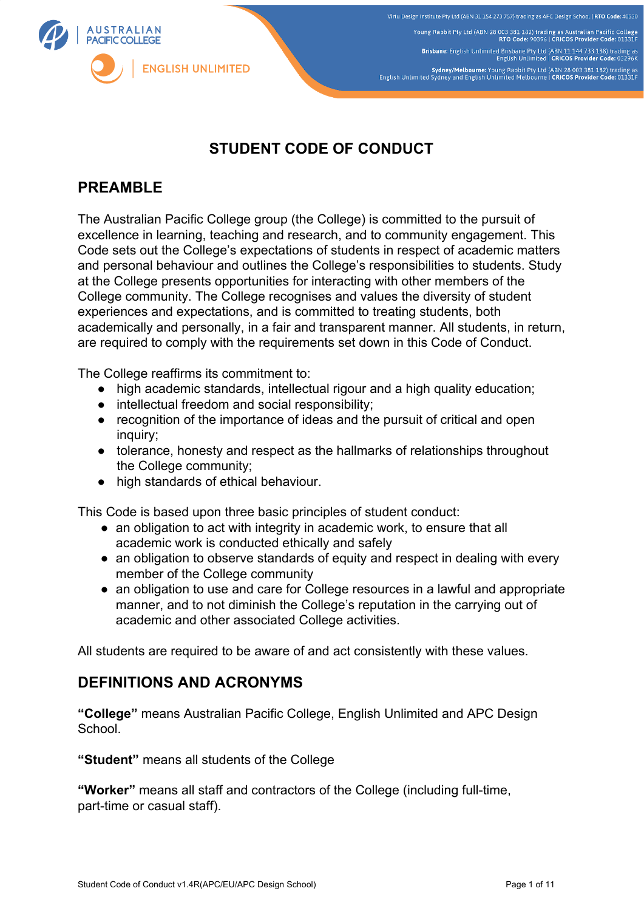

# **STUDENT CODE OF CONDUCT**

## **PREAMBLE**

The Australian Pacific College group (the College) is committed to the pursuit of excellence in learning, teaching and research, and to community engagement. This Code sets out the College's expectations of students in respect of academic matters and personal behaviour and outlines the College's responsibilities to students. Study at the College presents opportunities for interacting with other members of the College community. The College recognises and values the diversity of student experiences and expectations, and is committed to treating students, both academically and personally, in a fair and transparent manner. All students, in return, are required to comply with the requirements set down in this Code of Conduct.

The College reaffirms its commitment to:

- high academic standards, intellectual rigour and a high quality education;
- intellectual freedom and social responsibility;
- recognition of the importance of ideas and the pursuit of critical and open inquiry;
- tolerance, honesty and respect as the hallmarks of relationships throughout the College community;
- high standards of ethical behaviour.

This Code is based upon three basic principles of student conduct:

- an obligation to act with integrity in academic work, to ensure that all academic work is conducted ethically and safely
- an obligation to observe standards of equity and respect in dealing with every member of the College community
- an obligation to use and care for College resources in a lawful and appropriate manner, and to not diminish the College's reputation in the carrying out of academic and other associated College activities.

All students are required to be aware of and act consistently with these values.

## **DEFINITIONS AND ACRONYMS**

**"College"** means Australian Pacific College, English Unlimited and APC Design School.

**"Student"** means all students of the College

**"Worker"** means all staff and contractors of the College (including full-time, part-time or casual staff).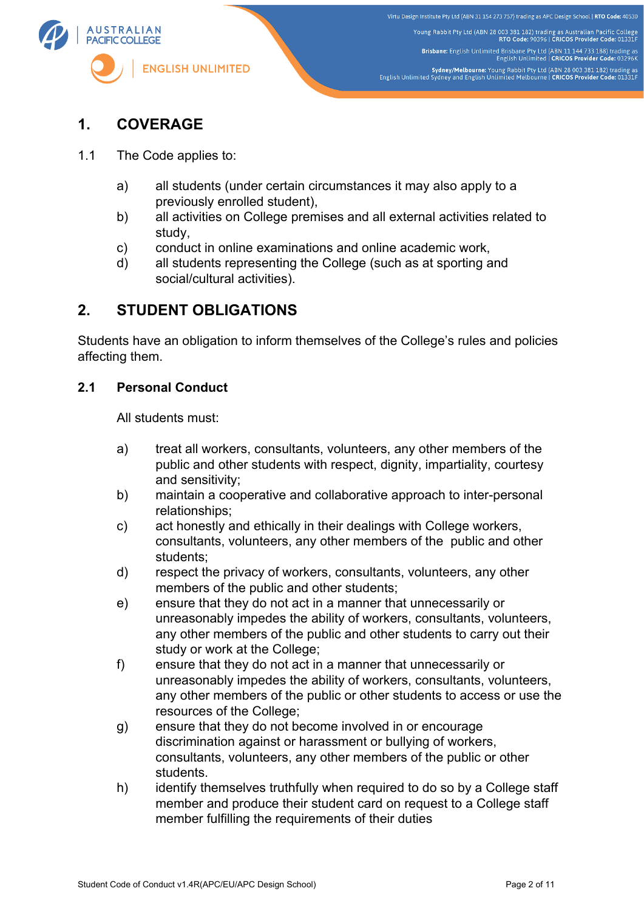

## **1. COVERAGE**

- 1.1 The Code applies to:
	- a) all students (under certain circumstances it may also apply to a previously enrolled student),
	- b) all activities on College premises and all external activities related to study,
	- c) conduct in online examinations and online academic work,
	- d) all students representing the College (such as at sporting and social/cultural activities).

## **2. STUDENT OBLIGATIONS**

Students have an obligation to inform themselves of the College's rules and policies affecting them.

#### **2.1 Personal Conduct**

All students must:

- a) treat all workers, consultants, volunteers, any other members of the public and other students with respect, dignity, impartiality, courtesy and sensitivity;
- b) maintain a cooperative and collaborative approach to inter-personal relationships;
- c) act honestly and ethically in their dealings with College workers, consultants, volunteers, any other members of the public and other students;
- d) respect the privacy of workers, consultants, volunteers, any other members of the public and other students;
- e) ensure that they do not act in a manner that unnecessarily or unreasonably impedes the ability of workers, consultants, volunteers, any other members of the public and other students to carry out their study or work at the College;
- f) ensure that they do not act in a manner that unnecessarily or unreasonably impedes the ability of workers, consultants, volunteers, any other members of the public or other students to access or use the resources of the College;
- g) ensure that they do not become involved in or encourage discrimination against or harassment or bullying of workers, consultants, volunteers, any other members of the public or other students.
- h) identify themselves truthfully when required to do so by a College staff member and produce their student card on request to a College staff member fulfilling the requirements of their duties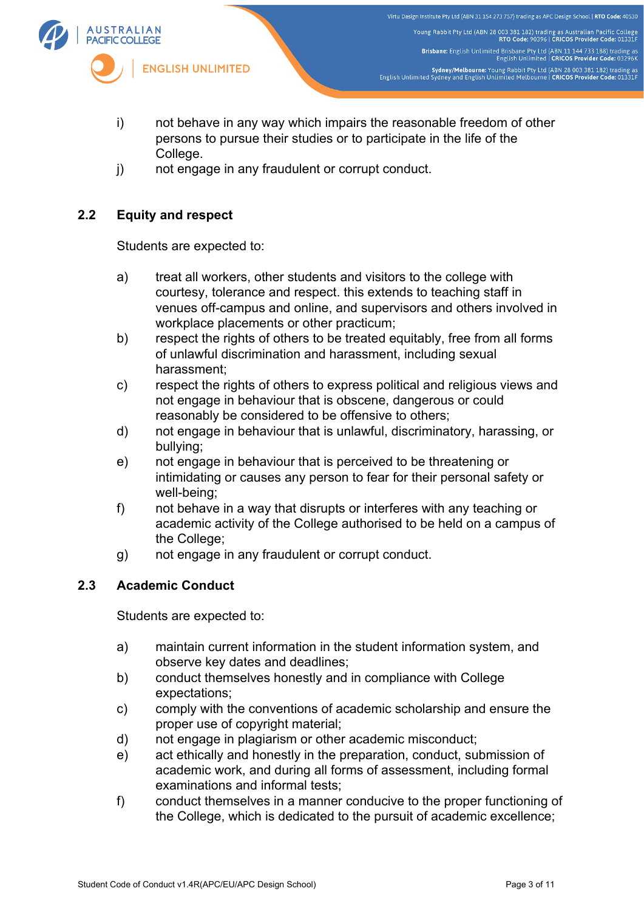

- i) not behave in any way which impairs the reasonable freedom of other persons to pursue their studies or to participate in the life of the College.
- j) not engage in any fraudulent or corrupt conduct.

#### **2.2 Equity and respect**

Students are expected to:

- a) treat all workers, other students and visitors to the college with courtesy, tolerance and respect. this extends to teaching staff in venues off-campus and online, and supervisors and others involved in workplace placements or other practicum;
- b) respect the rights of others to be treated equitably, free from all forms of unlawful discrimination and harassment, including sexual harassment;
- c) respect the rights of others to express political and religious views and not engage in behaviour that is obscene, dangerous or could reasonably be considered to be offensive to others;
- d) not engage in behaviour that is unlawful, discriminatory, harassing, or bullying;
- e) not engage in behaviour that is perceived to be threatening or intimidating or causes any person to fear for their personal safety or well-being;
- f) not behave in a way that disrupts or interferes with any teaching or academic activity of the College authorised to be held on a campus of the College;
- g) not engage in any fraudulent or corrupt conduct.

#### **2.3 Academic Conduct**

Students are expected to:

- a) maintain current information in the student information system, and observe key dates and deadlines;
- b) conduct themselves honestly and in compliance with College expectations;
- c) comply with the conventions of academic scholarship and ensure the proper use of copyright material;
- d) not engage in plagiarism or other academic misconduct;
- e) act ethically and honestly in the preparation, conduct, submission of academic work, and during all forms of assessment, including formal examinations and informal tests;
- f) conduct themselves in a manner conducive to the proper functioning of the College, which is dedicated to the pursuit of academic excellence;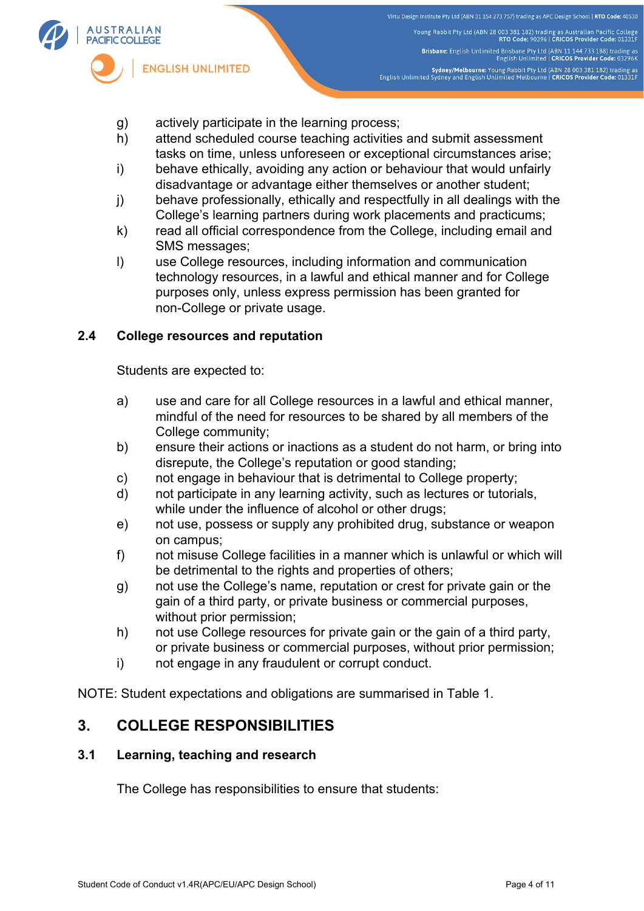

- g) actively participate in the learning process;
- h) attend scheduled course teaching activities and submit assessment tasks on time, unless unforeseen or exceptional circumstances arise;
- i) behave ethically, avoiding any action or behaviour that would unfairly disadvantage or advantage either themselves or another student;
- j) behave professionally, ethically and respectfully in all dealings with the College's learning partners during work placements and practicums;
- k) read all official correspondence from the College, including email and SMS messages;
- l) use College resources, including information and communication technology resources, in a lawful and ethical manner and for College purposes only, unless express permission has been granted for non-College or private usage.

#### **2.4 College resources and reputation**

Students are expected to:

- a) use and care for all College resources in a lawful and ethical manner, mindful of the need for resources to be shared by all members of the College community;
- b) ensure their actions or inactions as a student do not harm, or bring into disrepute, the College's reputation or good standing;
- c) not engage in behaviour that is detrimental to College property;
- d) not participate in any learning activity, such as lectures or tutorials, while under the influence of alcohol or other drugs;
- e) not use, possess or supply any prohibited drug, substance or weapon on campus;
- f) not misuse College facilities in a manner which is unlawful or which will be detrimental to the rights and properties of others;
- g) not use the College's name, reputation or crest for private gain or the gain of a third party, or private business or commercial purposes, without prior permission;
- h) not use College resources for private gain or the gain of a third party, or private business or commercial purposes, without prior permission;
- i) not engage in any fraudulent or corrupt conduct.

NOTE: Student expectations and obligations are summarised in Table 1.

## **3. COLLEGE RESPONSIBILITIES**

#### **3.1 Learning, teaching and research**

The College has responsibilities to ensure that students: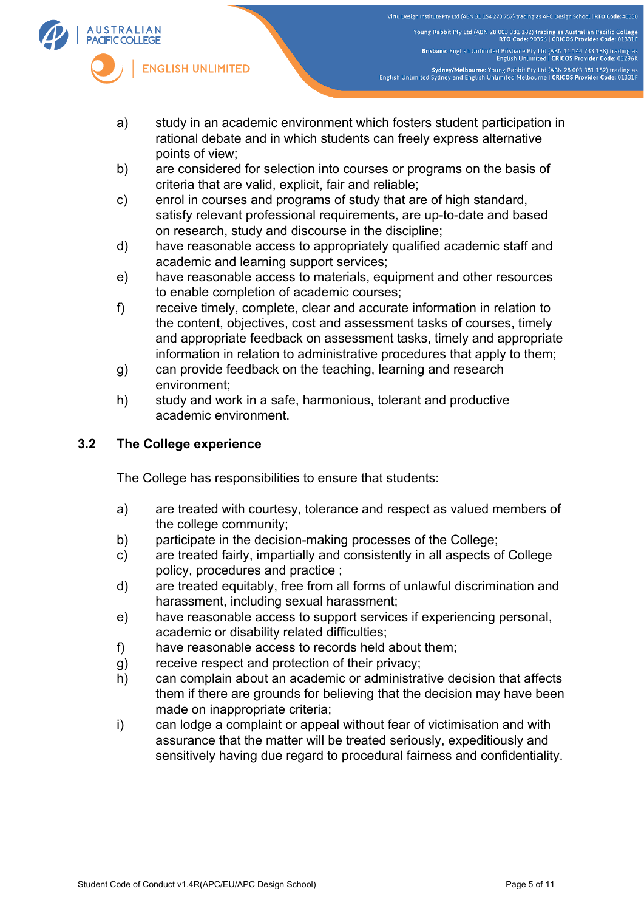

- a) study in an academic environment which fosters student participation in rational debate and in which students can freely express alternative points of view;
- b) are considered for selection into courses or programs on the basis of criteria that are valid, explicit, fair and reliable;
- c) enrol in courses and programs of study that are of high standard, satisfy relevant professional requirements, are up-to-date and based on research, study and discourse in the discipline;
- d) have reasonable access to appropriately qualified academic staff and academic and learning support services;
- e) have reasonable access to materials, equipment and other resources to enable completion of academic courses;
- f) receive timely, complete, clear and accurate information in relation to the content, objectives, cost and assessment tasks of courses, timely and appropriate feedback on assessment tasks, timely and appropriate information in relation to administrative procedures that apply to them;
- g) can provide feedback on the teaching, learning and research environment;
- h) study and work in a safe, harmonious, tolerant and productive academic environment.

### **3.2 The College experience**

The College has responsibilities to ensure that students:

- a) are treated with courtesy, tolerance and respect as valued members of the college community;
- b) participate in the decision-making processes of the College;
- c) are treated fairly, impartially and consistently in all aspects of College policy, procedures and practice ;
- d) are treated equitably, free from all forms of unlawful discrimination and harassment, including sexual harassment;
- e) have reasonable access to support services if experiencing personal, academic or disability related difficulties;
- f) have reasonable access to records held about them;
- g) receive respect and protection of their privacy;
- h) can complain about an academic or administrative decision that affects them if there are grounds for believing that the decision may have been made on inappropriate criteria;
- i) can lodge a complaint or appeal without fear of victimisation and with assurance that the matter will be treated seriously, expeditiously and sensitively having due regard to procedural fairness and confidentiality.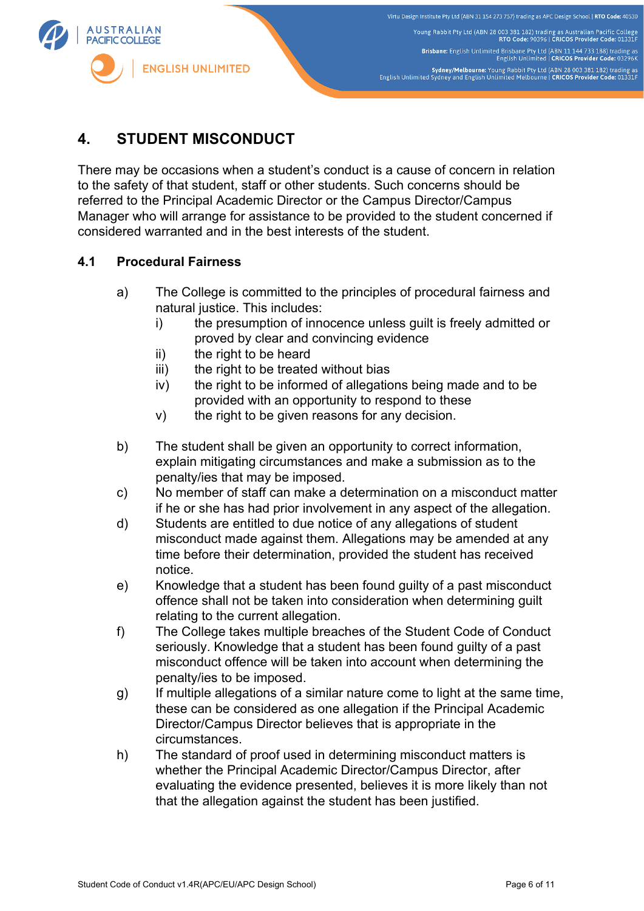

# **4. STUDENT MISCONDUCT**

There may be occasions when a student's conduct is a cause of concern in relation to the safety of that student, staff or other students. Such concerns should be referred to the Principal Academic Director or the Campus Director/Campus Manager who will arrange for assistance to be provided to the student concerned if considered warranted and in the best interests of the student.

#### **4.1 Procedural Fairness**

- a) The College is committed to the principles of procedural fairness and natural justice. This includes:
	- i) the presumption of innocence unless guilt is freely admitted or proved by clear and convincing evidence
	- ii) the right to be heard
	- iii) the right to be treated without bias
	- iv) the right to be informed of allegations being made and to be provided with an opportunity to respond to these
	- v) the right to be given reasons for any decision.
- b) The student shall be given an opportunity to correct information, explain mitigating circumstances and make a submission as to the penalty/ies that may be imposed.
- c) No member of staff can make a determination on a misconduct matter if he or she has had prior involvement in any aspect of the allegation.
- d) Students are entitled to due notice of any allegations of student misconduct made against them. Allegations may be amended at any time before their determination, provided the student has received notice.
- e) Knowledge that a student has been found guilty of a past misconduct offence shall not be taken into consideration when determining guilt relating to the current allegation.
- f) The College takes multiple breaches of the Student Code of Conduct seriously. Knowledge that a student has been found guilty of a past misconduct offence will be taken into account when determining the penalty/ies to be imposed.
- g) If multiple allegations of a similar nature come to light at the same time, these can be considered as one allegation if the Principal Academic Director/Campus Director believes that is appropriate in the circumstances.
- h) The standard of proof used in determining misconduct matters is whether the Principal Academic Director/Campus Director, after evaluating the evidence presented, believes it is more likely than not that the allegation against the student has been justified.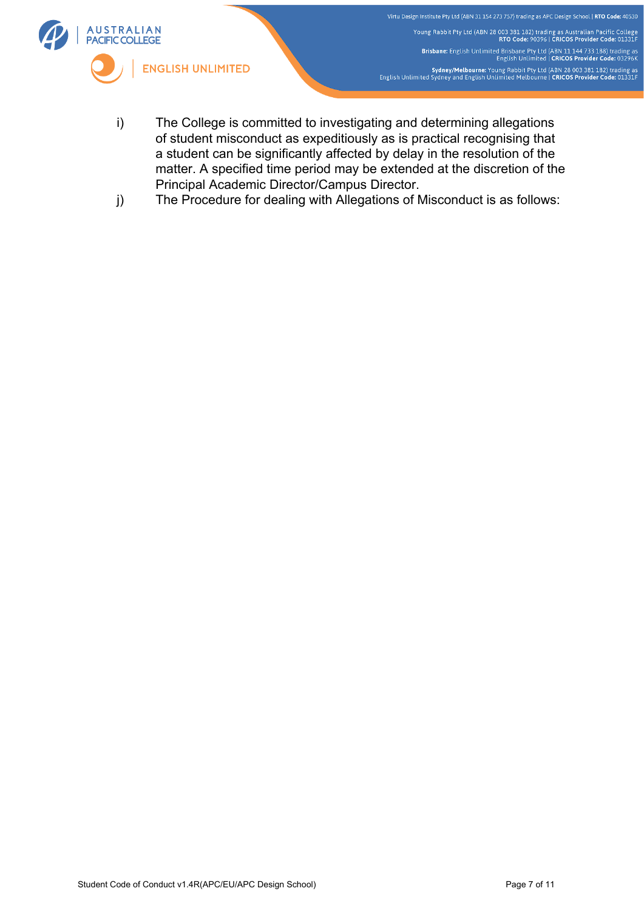

- i) The College is committed to investigating and determining allegations of student misconduct as expeditiously as is practical recognising that a student can be significantly affected by delay in the resolution of the matter. A specified time period may be extended at the discretion of the Principal Academic Director/Campus Director.
- j) The Procedure for dealing with Allegations of Misconduct is as follows: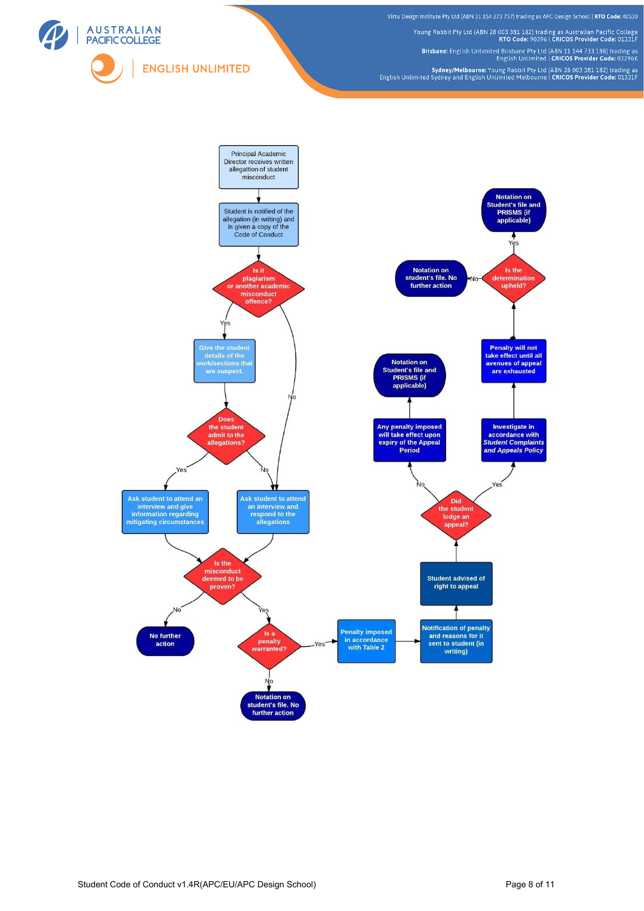

Virtu Design Institute Pty Ltd (ABN 31 154 273 757) trading as APC Design School | RTO Code: 40530

Young Rabbit Pty Ltd (ABN 28 003 381 182) trading as Australian Pacific College<br>RTO Code: 90396 | CRICOS Provider Code: 91331F

Brisbane: English Unlimited Brisbane Pty Ltd (ABN 11 144 733 188) trading as<br>English Unlimited | CRICOS Provider Code: 03296K

Sydney/Melbourne: Young Rabbit Pty Ltd (ABN 28 003 381 182) trading as<br>English Unlimited Sydney and English Unlimited Melbourne | CRICOS Provider Code: 01331F

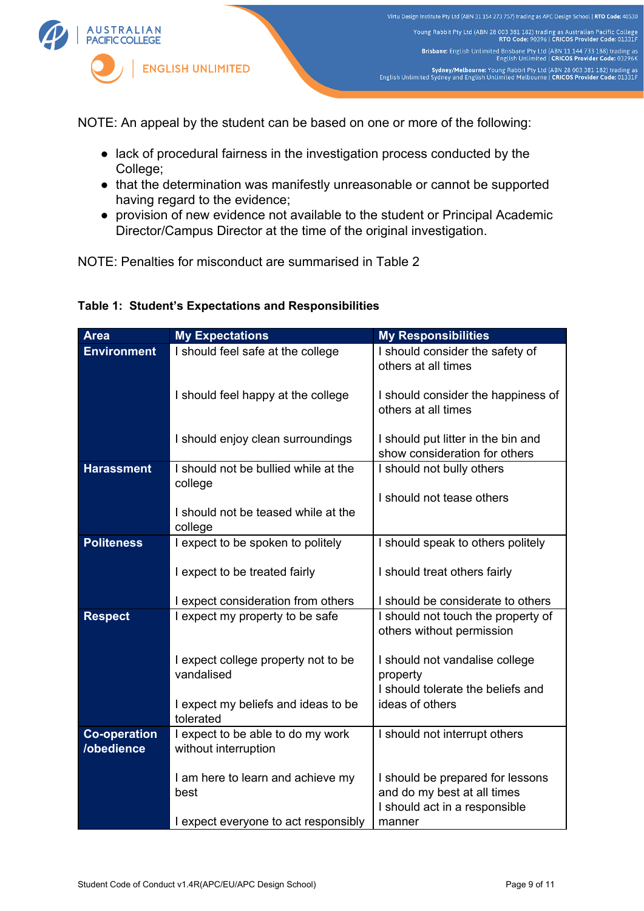

NOTE: An appeal by the student can be based on one or more of the following:

- lack of procedural fairness in the investigation process conducted by the College;
- that the determination was manifestly unreasonable or cannot be supported having regard to the evidence;
- provision of new evidence not available to the student or Principal Academic Director/Campus Director at the time of the original investigation.

NOTE: Penalties for misconduct are summarised in Table 2

#### **Table 1: Student's Expectations and Responsibilities**

| <b>Area</b>                                              | <b>My Expectations</b>                         | <b>My Responsibilities</b>         |
|----------------------------------------------------------|------------------------------------------------|------------------------------------|
| <b>Environment</b>                                       | I should feel safe at the college              | I should consider the safety of    |
|                                                          |                                                | others at all times                |
|                                                          | I should feel happy at the college             | I should consider the happiness of |
|                                                          |                                                | others at all times                |
|                                                          |                                                |                                    |
|                                                          | I should enjoy clean surroundings              | I should put litter in the bin and |
|                                                          |                                                | show consideration for others      |
| <b>Harassment</b>                                        | I should not be bullied while at the           | I should not bully others          |
|                                                          | college                                        |                                    |
|                                                          |                                                | I should not tease others          |
|                                                          | I should not be teased while at the<br>college |                                    |
| <b>Politeness</b>                                        | I expect to be spoken to politely              | I should speak to others politely  |
|                                                          |                                                |                                    |
|                                                          | I expect to be treated fairly                  | I should treat others fairly       |
|                                                          |                                                |                                    |
|                                                          | I expect consideration from others             | I should be considerate to others  |
| <b>Respect</b>                                           | I expect my property to be safe                | I should not touch the property of |
|                                                          |                                                | others without permission          |
|                                                          | I expect college property not to be            | I should not vandalise college     |
|                                                          | vandalised                                     | property                           |
|                                                          |                                                | I should tolerate the beliefs and  |
|                                                          | I expect my beliefs and ideas to be            | ideas of others                    |
|                                                          | tolerated                                      |                                    |
| I expect to be able to do my work<br><b>Co-operation</b> |                                                | I should not interrupt others      |
| /obedience                                               | without interruption                           |                                    |
|                                                          | I am here to learn and achieve my              | I should be prepared for lessons   |
|                                                          | best                                           | and do my best at all times        |
|                                                          |                                                | I should act in a responsible      |
|                                                          | I expect everyone to act responsibly           | manner                             |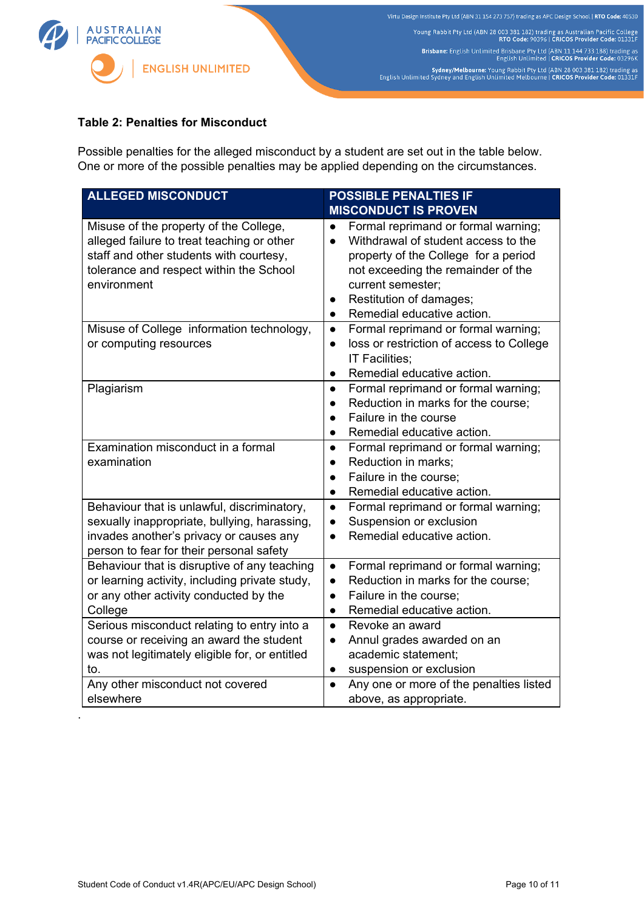

#### **Table 2: Penalties for Misconduct**

Possible penalties for the alleged misconduct by a student are set out in the table below. One or more of the possible penalties may be applied depending on the circumstances.

| <b>ALLEGED MISCONDUCT</b>                                                                                                                                                                 | <b>POSSIBLE PENALTIES IF</b>                                                                                                                                                                                                                                                               |  |  |
|-------------------------------------------------------------------------------------------------------------------------------------------------------------------------------------------|--------------------------------------------------------------------------------------------------------------------------------------------------------------------------------------------------------------------------------------------------------------------------------------------|--|--|
|                                                                                                                                                                                           | <b>MISCONDUCT IS PROVEN</b>                                                                                                                                                                                                                                                                |  |  |
| Misuse of the property of the College,<br>alleged failure to treat teaching or other<br>staff and other students with courtesy,<br>tolerance and respect within the School<br>environment | Formal reprimand or formal warning;<br>$\bullet$<br>Withdrawal of student access to the<br>$\bullet$<br>property of the College for a period<br>not exceeding the remainder of the<br>current semester;<br>Restitution of damages;<br>$\bullet$<br>Remedial educative action.<br>$\bullet$ |  |  |
| Misuse of College information technology,<br>or computing resources                                                                                                                       | Formal reprimand or formal warning;<br>$\bullet$<br>loss or restriction of access to College<br>$\bullet$<br>IT Facilities;<br>Remedial educative action.<br>$\bullet$                                                                                                                     |  |  |
| Plagiarism                                                                                                                                                                                | Formal reprimand or formal warning;<br>$\bullet$<br>Reduction in marks for the course;<br>Failure in the course<br>$\bullet$<br>Remedial educative action.<br>$\bullet$                                                                                                                    |  |  |
| Examination misconduct in a formal<br>examination                                                                                                                                         | Formal reprimand or formal warning;<br>$\bullet$<br>Reduction in marks;<br>$\bullet$<br>Failure in the course;<br>$\bullet$<br>Remedial educative action.<br>$\bullet$                                                                                                                     |  |  |
| Behaviour that is unlawful, discriminatory,<br>sexually inappropriate, bullying, harassing,<br>invades another's privacy or causes any<br>person to fear for their personal safety        | Formal reprimand or formal warning;<br>$\bullet$<br>Suspension or exclusion<br>$\bullet$<br>Remedial educative action.<br>$\bullet$                                                                                                                                                        |  |  |
| Behaviour that is disruptive of any teaching<br>or learning activity, including private study,<br>or any other activity conducted by the<br>College                                       | Formal reprimand or formal warning;<br>$\bullet$<br>Reduction in marks for the course;<br>$\bullet$<br>Failure in the course;<br>$\bullet$<br>Remedial educative action.<br>$\bullet$                                                                                                      |  |  |
| Serious misconduct relating to entry into a<br>course or receiving an award the student<br>was not legitimately eligible for, or entitled<br>to.                                          | Revoke an award<br>$\bullet$<br>Annul grades awarded on an<br>$\bullet$<br>academic statement;<br>suspension or exclusion<br>$\bullet$                                                                                                                                                     |  |  |
| Any other misconduct not covered<br>elsewhere                                                                                                                                             | Any one or more of the penalties listed<br>$\bullet$<br>above, as appropriate.                                                                                                                                                                                                             |  |  |

.